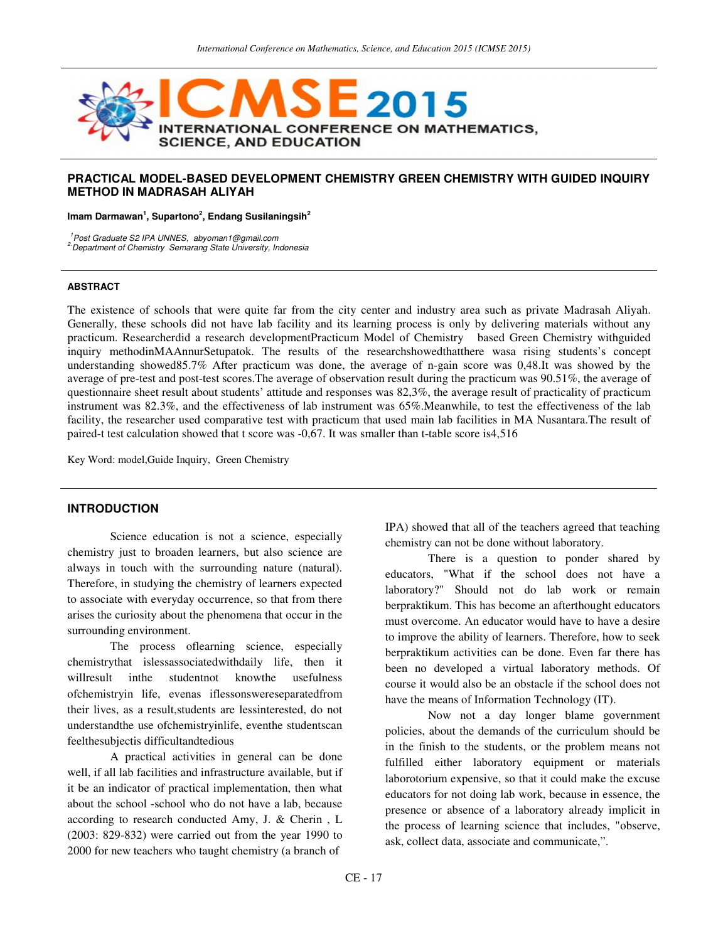

#### **PRACTICAL MODEL-BASED DEVELOPMENT CHEMISTRY GREEN CHEMISTRY WITH GUIDED INQUIRY METHOD IN MADRASAH ALIYAH**

**Imam Darmawan<sup>1</sup> , Supartono<sup>2</sup> , Endang Susilaningsih<sup>2</sup>**

<sup>1</sup>Post Graduate S2 IPA UNNES, abyoman1@gmail.com

<sup>2</sup> Department of Chemistry Semarang State University, Indonesia

#### **ABSTRACT**

The existence of schools that were quite far from the city center and industry area such as private Madrasah Aliyah. Generally, these schools did not have lab facility and its learning process is only by delivering materials without any practicum. Researcherdid a research developmentPracticum Model of Chemistry based Green Chemistry withguided inquiry methodinMAAnnurSetupatok. The results of the researchshowedthatthere wasa rising students's concept understanding showed85.7% After practicum was done, the average of n-gain score was 0,48.It was showed by the average of pre-test and post-test scores.The average of observation result during the practicum was 90.51%, the average of questionnaire sheet result about students' attitude and responses was 82,3%, the average result of practicality of practicum instrument was 82.3%, and the effectiveness of lab instrument was 65%.Meanwhile, to test the effectiveness of the lab facility, the researcher used comparative test with practicum that used main lab facilities in MA Nusantara.The result of paired-t test calculation showed that t score was -0,67. It was smaller than t-table score is4,516

Key Word: model,Guide Inquiry, Green Chemistry

## **INTRODUCTION**

Science education is not a science, especially chemistry just to broaden learners, but also science are always in touch with the surrounding nature (natural). Therefore, in studying the chemistry of learners expected to associate with everyday occurrence, so that from there arises the curiosity about the phenomena that occur in the surrounding environment.

The process oflearning science, especially chemistrythat islessassociatedwithdaily life, then it willresult inthe studentnot knowthe usefulness ofchemistryin life, evenas iflessonswereseparatedfrom their lives, as a result,students are lessinterested, do not understandthe use ofchemistryinlife, eventhe studentscan feelthesubjectis difficultandtedious

A practical activities in general can be done well, if all lab facilities and infrastructure available, but if it be an indicator of practical implementation, then what about the school -school who do not have a lab, because according to research conducted Amy, J. & Cherin , L (2003: 829-832) were carried out from the year 1990 to 2000 for new teachers who taught chemistry (a branch of

IPA) showed that all of the teachers agreed that teaching chemistry can not be done without laboratory.

There is a question to ponder shared by educators, "What if the school does not have a laboratory?" Should not do lab work or remain berpraktikum. This has become an afterthought educators must overcome. An educator would have to have a desire to improve the ability of learners. Therefore, how to seek berpraktikum activities can be done. Even far there has been no developed a virtual laboratory methods. Of course it would also be an obstacle if the school does not have the means of Information Technology (IT).

Now not a day longer blame government policies, about the demands of the curriculum should be in the finish to the students, or the problem means not fulfilled either laboratory equipment or materials laborotorium expensive, so that it could make the excuse educators for not doing lab work, because in essence, the presence or absence of a laboratory already implicit in the process of learning science that includes, "observe, ask, collect data, associate and communicate,".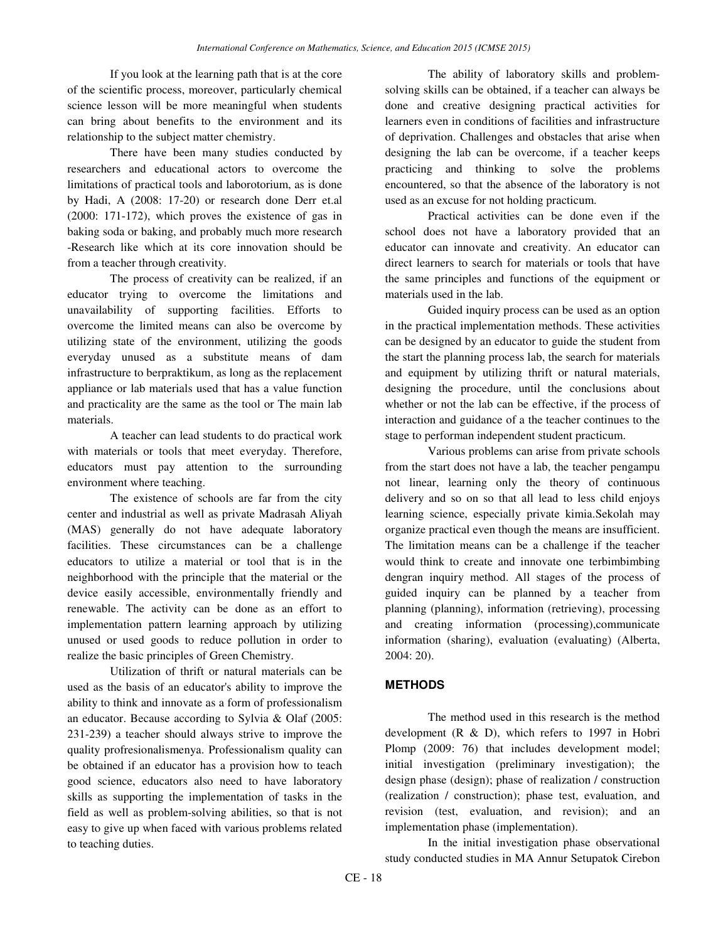If you look at the learning path that is at the core of the scientific process, moreover, particularly chemical science lesson will be more meaningful when students can bring about benefits to the environment and its relationship to the subject matter chemistry.

There have been many studies conducted by researchers and educational actors to overcome the limitations of practical tools and laborotorium, as is done by Hadi, A (2008: 17-20) or research done Derr et.al (2000: 171-172), which proves the existence of gas in baking soda or baking, and probably much more research -Research like which at its core innovation should be from a teacher through creativity.

The process of creativity can be realized, if an educator trying to overcome the limitations and unavailability of supporting facilities. Efforts to overcome the limited means can also be overcome by utilizing state of the environment, utilizing the goods everyday unused as a substitute means of dam infrastructure to berpraktikum, as long as the replacement appliance or lab materials used that has a value function and practicality are the same as the tool or The main lab materials.

A teacher can lead students to do practical work with materials or tools that meet everyday. Therefore, educators must pay attention to the surrounding environment where teaching.

The existence of schools are far from the city center and industrial as well as private Madrasah Aliyah (MAS) generally do not have adequate laboratory facilities. These circumstances can be a challenge educators to utilize a material or tool that is in the neighborhood with the principle that the material or the device easily accessible, environmentally friendly and renewable. The activity can be done as an effort to implementation pattern learning approach by utilizing unused or used goods to reduce pollution in order to realize the basic principles of Green Chemistry.

Utilization of thrift or natural materials can be used as the basis of an educator's ability to improve the ability to think and innovate as a form of professionalism an educator. Because according to Sylvia & Olaf (2005: 231-239) a teacher should always strive to improve the quality profresionalismenya. Professionalism quality can be obtained if an educator has a provision how to teach good science, educators also need to have laboratory skills as supporting the implementation of tasks in the field as well as problem-solving abilities, so that is not easy to give up when faced with various problems related to teaching duties.

The ability of laboratory skills and problemsolving skills can be obtained, if a teacher can always be done and creative designing practical activities for learners even in conditions of facilities and infrastructure of deprivation. Challenges and obstacles that arise when designing the lab can be overcome, if a teacher keeps practicing and thinking to solve the problems encountered, so that the absence of the laboratory is not used as an excuse for not holding practicum.

Practical activities can be done even if the school does not have a laboratory provided that an educator can innovate and creativity. An educator can direct learners to search for materials or tools that have the same principles and functions of the equipment or materials used in the lab.

Guided inquiry process can be used as an option in the practical implementation methods. These activities can be designed by an educator to guide the student from the start the planning process lab, the search for materials and equipment by utilizing thrift or natural materials, designing the procedure, until the conclusions about whether or not the lab can be effective, if the process of interaction and guidance of a the teacher continues to the stage to performan independent student practicum.

Various problems can arise from private schools from the start does not have a lab, the teacher pengampu not linear, learning only the theory of continuous delivery and so on so that all lead to less child enjoys learning science, especially private kimia.Sekolah may organize practical even though the means are insufficient. The limitation means can be a challenge if the teacher would think to create and innovate one terbimbimbing dengran inquiry method. All stages of the process of guided inquiry can be planned by a teacher from planning (planning), information (retrieving), processing and creating information (processing),communicate information (sharing), evaluation (evaluating) (Alberta, 2004: 20).

### **METHODS**

The method used in this research is the method development (R & D), which refers to 1997 in Hobri Plomp (2009: 76) that includes development model; initial investigation (preliminary investigation); the design phase (design); phase of realization / construction (realization / construction); phase test, evaluation, and revision (test, evaluation, and revision); and an implementation phase (implementation).

In the initial investigation phase observational study conducted studies in MA Annur Setupatok Cirebon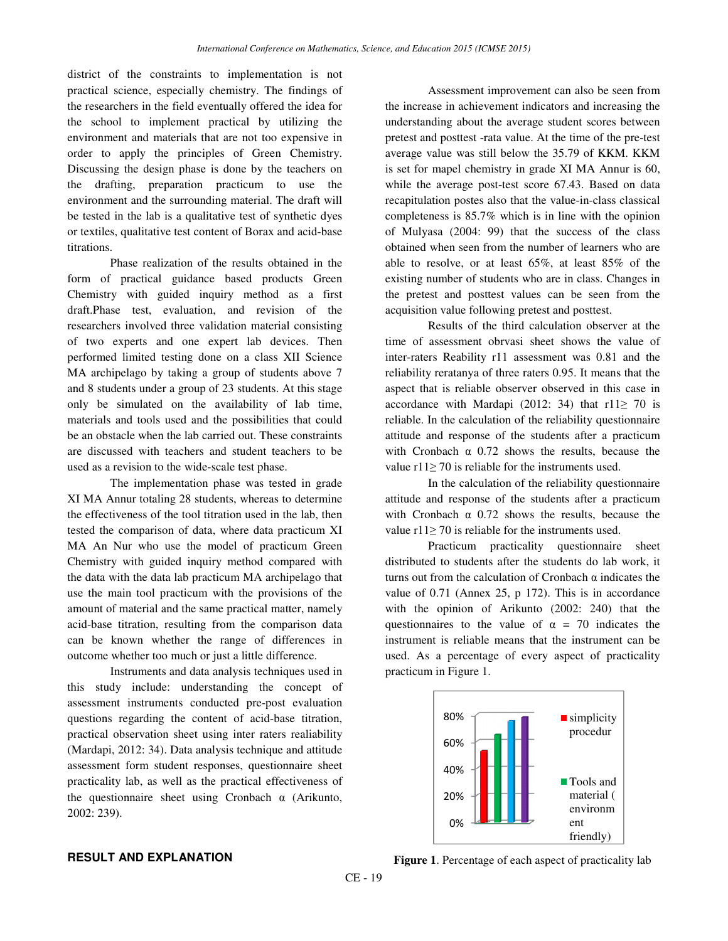district of the constraints to implementation is not practical science, especially chemistry. The findings of the researchers in the field eventually offered the idea for the school to implement practical by utilizing the environment and materials that are not too expensive in order to apply the principles of Green Chemistry. Discussing the design phase is done by the teachers on the drafting, preparation practicum to use the environment and the surrounding material. The draft will be tested in the lab is a qualitative test of synthetic dyes or textiles, qualitative test content of Borax and acid-base titrations.

Phase realization of the results obtained in the form of practical guidance based products Green Chemistry with guided inquiry method as a first draft.Phase test, evaluation, and revision of the researchers involved three validation material consisting of two experts and one expert lab devices. Then performed limited testing done on a class XII Science MA archipelago by taking a group of students above 7 and 8 students under a group of 23 students. At this stage only be simulated on the availability of lab time, materials and tools used and the possibilities that could be an obstacle when the lab carried out. These constraints are discussed with teachers and student teachers to be used as a revision to the wide-scale test phase.

The implementation phase was tested in grade XI MA Annur totaling 28 students, whereas to determine the effectiveness of the tool titration used in the lab, then tested the comparison of data, where data practicum XI MA An Nur who use the model of practicum Green Chemistry with guided inquiry method compared with the data with the data lab practicum MA archipelago that use the main tool practicum with the provisions of the amount of material and the same practical matter, namely acid-base titration, resulting from the comparison data can be known whether the range of differences in outcome whether too much or just a little difference.

Instruments and data analysis techniques used in this study include: understanding the concept of assessment instruments conducted pre-post evaluation questions regarding the content of acid-base titration, practical observation sheet using inter raters realiability (Mardapi, 2012: 34). Data analysis technique and attitude assessment form student responses, questionnaire sheet practicality lab, as well as the practical effectiveness of the questionnaire sheet using Cronbach α (Arikunto, 2002: 239).

Assessment improvement can also be seen from the increase in achievement indicators and increasing the understanding about the average student scores between pretest and posttest -rata value. At the time of the pre-test average value was still below the 35.79 of KKM. KKM is set for mapel chemistry in grade XI MA Annur is 60, while the average post-test score 67.43. Based on data recapitulation postes also that the value-in-class classical completeness is 85.7% which is in line with the opinion of Mulyasa (2004: 99) that the success of the class obtained when seen from the number of learners who are able to resolve, or at least 65%, at least 85% of the existing number of students who are in class. Changes in the pretest and posttest values can be seen from the acquisition value following pretest and posttest.

Results of the third calculation observer at the time of assessment obrvasi sheet shows the value of inter-raters Reability r11 assessment was 0.81 and the reliability reratanya of three raters 0.95. It means that the aspect that is reliable observer observed in this case in accordance with Mardapi (2012: 34) that r11 $\geq$  70 is reliable. In the calculation of the reliability questionnaire attitude and response of the students after a practicum with Cronbach  $\alpha$  0.72 shows the results, because the value  $r11 \ge 70$  is reliable for the instruments used.

In the calculation of the reliability questionnaire attitude and response of the students after a practicum with Cronbach  $\alpha$  0.72 shows the results, because the value  $r11 \ge 70$  is reliable for the instruments used.

Practicum practicality questionnaire sheet distributed to students after the students do lab work, it turns out from the calculation of Cronbach  $\alpha$  indicates the value of 0.71 (Annex 25, p 172). This is in accordance with the opinion of Arikunto (2002: 240) that the questionnaires to the value of  $\alpha = 70$  indicates the instrument is reliable means that the instrument can be used. As a percentage of every aspect of practicality practicum in Figure 1.



# **RESULT AND EXPLANATION**

**Figure 1**. Percentage of each aspect of practicality lab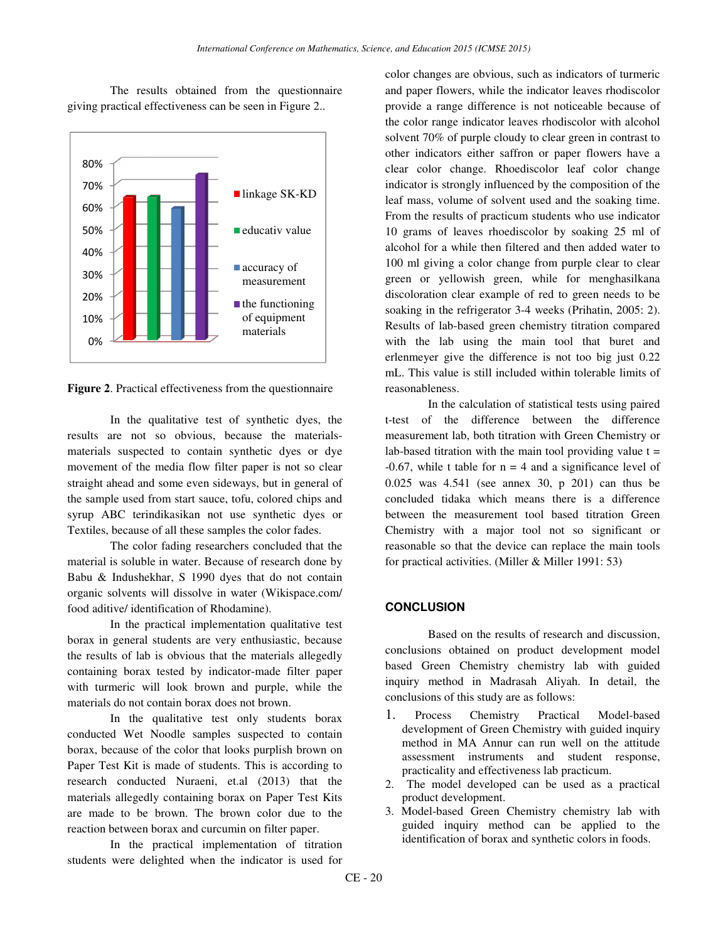The results obtained from the questionnaire giving practical effectiveness can be seen in Figure 2..



**Figure 2**. Practical effectiveness from the questionnaire

In the qualitative test of synthetic dyes, the results are not so obvious, because the materialsmaterials suspected to contain synthetic dyes or dye movement of the media flow filter paper is not so clear straight ahead and some even sideways, but in general of the sample used from start sauce, tofu, colored chips and syrup ABC terindikasikan not use synthetic dyes or Textiles, because of all these samples the color fades.

The color fading researchers concluded that the material is soluble in water. Because of research done by Babu & Indushekhar, S 1990 dyes that do not contain organic solvents will dissolve in water (Wikispace.com/ food aditive/ identification of Rhodamine).

In the practical implementation qualitative test borax in general students are very enthusiastic, because the results of lab is obvious that the materials allegedly containing borax tested by indicator-made filter paper with turmeric will look brown and purple, while the materials do not contain borax does not brown.

In the qualitative test only students borax conducted Wet Noodle samples suspected to contain borax, because of the color that looks purplish brown on Paper Test Kit is made of students. This is according to research conducted Nuraeni, et.al (2013) that the materials allegedly containing borax on Paper Test Kits are made to be brown. The brown color due to the reaction between borax and curcumin on filter paper.

In the practical implementation of titration students were delighted when the indicator is used for

color changes are obvious, such as indicators of turmeric and paper flowers, while the indicator leaves rhodiscolor provide a range difference is not noticeable because of the color range indicator leaves rhodiscolor with alcohol solvent 70% of purple cloudy to clear green in contrast to other indicators either saffron or paper flowers have a clear color change. Rhoediscolor leaf color change indicator is strongly influenced by the composition of the leaf mass, volume of solvent used and the soaking time. From the results of practicum students who use indicator 10 grams of leaves rhoediscolor by soaking 25 ml of alcohol for a while then filtered and then added water to 100 ml giving a color change from purple clear to clear green or yellowish green, while for menghasilkana discoloration clear example of red to green needs to be soaking in the refrigerator 3-4 weeks (Prihatin, 2005: 2). Results of lab-based green chemistry titration compared with the lab using the main tool that buret and erlenmeyer give the difference is not too big just 0.22 mL. This value is still included within tolerable limits of reasonableness.

In the calculation of statistical tests using paired t-test of the difference between the difference measurement lab, both titration with Green Chemistry or lab-based titration with the main tool providing value  $t =$  $-0.67$ , while t table for  $n = 4$  and a significance level of 0.025 was 4.541 (see annex 30, p 201) can thus be concluded tidaka which means there is a difference between the measurement tool based titration Green Chemistry with a major tool not so significant or reasonable so that the device can replace the main tools for practical activities. (Miller & Miller 1991: 53)

# **CONCLUSION**

Based on the results of research and discussion, conclusions obtained on product development model based Green Chemistry chemistry lab with guided inquiry method in Madrasah Aliyah. In detail, the conclusions of this study are as follows:

- 1. Process Chemistry Practical Model-based development of Green Chemistry with guided inquiry method in MA Annur can run well on the attitude assessment instruments and student response, practicality and effectiveness lab practicum.
- 2. The model developed can be used as a practical product development.
- 3. Model-based Green Chemistry chemistry lab with guided inquiry method can be applied to the identification of borax and synthetic colors in foods.